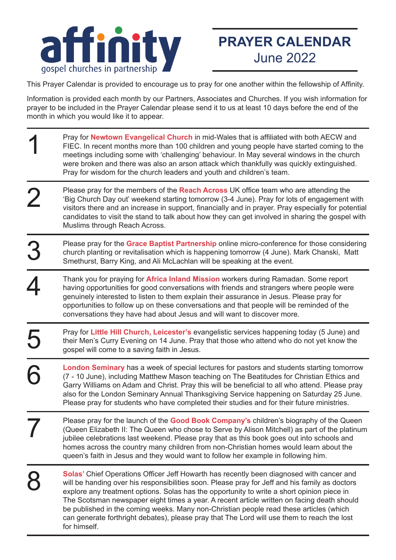

## **PRAYER CALENDAR** June 2022

This Prayer Calendar is provided to encourage us to pray for one another within the fellowship of Affinity.

Information is provided each month by our Partners, Associates and Churches. If you wish information for prayer to be included in the Prayer Calendar please send it to us at least 10 days before the end of the month in which you would like it to appear.

Pray for **Newtown Evangelical Church** in mid-Wales that is affiliated with both AECW and FIEC. In recent months more than 100 children and young people have started coming to the meetings including some with 'challenging' behaviour. In May several windows in the church were broken and there was also an arson attack which thankfully was quickly extinguished. Pray for wisdom for the church leaders and youth and children's team. Please pray for the members of the **Reach Across** UK office team who are attending the 'Big Church Day out' weekend starting tomorrow (3-4 June). Pray for lots of engagement with visitors there and an increase in support, financially and in prayer. Pray especially for potential candidates to visit the stand to talk about how they can get involved in sharing the gospel with Muslims through Reach Across. Thank you for praying for **Africa Inland Mission** workers during Ramadan. Some report having opportunities for good conversations with friends and strangers where people were genuinely interested to listen to them explain their assurance in Jesus. Please pray for opportunities to follow up on these conversations and that people will be reminded of the conversations they have had about Jesus and will want to discover more. Please pray for the **Grace Baptist Partnership** online micro-conference for those considering church planting or revitalisation which is happening tomorrow (4 June). Mark Chanski, Matt Smethurst, Barry King, and Ali McLachlan will be speaking at the event. Pray for **Little Hill Church, Leicester's** evangelistic services happening today (5 June) and their Men's Curry Evening on 14 June. Pray that those who attend who do not yet know the gospel will come to a saving faith in Jesus. **London Seminary** has a week of special lectures for pastors and students starting tomorrow (7 - 10 June), including Matthew Mason teaching on The Beatitudes for Christian Ethics and Garry Williams on Adam and Christ. Pray this will be beneficial to all who attend. Please pray also for the London Seminary Annual Thanksgiving Service happening on Saturday 25 June. Please pray for students who have completed their studies and for their future ministries. Please pray for the launch of the **Good Book Company's** children's biography of the Queen (Queen Elizabeth II: The Queen who chose to Serve by Alison Mitchell) as part of the platinum jubilee celebrations last weekend. Please pray that as this book goes out into schools and homes across the country many children from non-Christian homes would learn about the queen's faith in Jesus and they would want to follow her example in following him. **Solas'** Chief Operations Officer Jeff Howarth has recently been diagnosed with cancer and will be handing over his responsibilities soon. Please pray for Jeff and his family as doctors explore any treatment options. Solas has the opportunity to write a short opinion piece in The Scotsman newspaper eight times a year. A recent article written on facing death should be published in the coming weeks. Many non-Christian people read these articles (which can generate forthright debates), please pray that The Lord will use them to reach the lost for himself. 1 2 3 4 5 6 7 8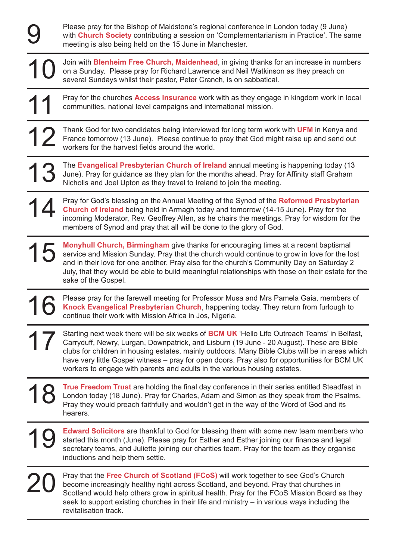Please pray for the Bishop of Maidstone's regional conference in London today (9 June) with **Church Society** contributing a session on 'Complementarianism in Practice'. The same meeting is also being held on the 15 June in Manchester.

10 Join with **Blenheim Free Church, Maidenhead**, in giving thanks for an increase in numbers on a Sunday. Please pray for Richard Lawrence and Neil Watkinson as they preach on several Sundays whilst their pastor, Peter Cranch, is on sabbatical.

9

11 Pray for the churches **Access Insurance** work with as they engage in kingdom work in local communities, national level campaigns and international mission.

12 Thank God for two candidates being interviewed for long term work with **UFM** in Kenya and France tomorrow (13 June). Please continue to pray that God might raise up and send out workers for the harvest fields around the world.

13 The **Evangelical Presbyterian Church of Ireland** annual meeting is happening today (13 June). Pray for guidance as they plan for the months ahead. Pray for Affinity staff Graham Nicholls and Joel Upton as they travel to Ireland to join the meeting.

14 Pray for God's blessing on the Annual Meeting of the Synod of the **Reformed Presbyterian Church of Ireland** being held in Armagh today and tomorrow (14-15 June). Pray for the incoming Moderator, Rev. Geoffrey Allen, as he chairs the meetings. Pray for wisdom for the members of Synod and pray that all will be done to the glory of God.

15 **Monyhull Church, Birmingham** give thanks for encouraging times at a recent baptismal service and Mission Sunday. Pray that the church would continue to grow in love for the lost and in their love for one another. Pray also for the church's Community Day on Saturday 2 July, that they would be able to build meaningful relationships with those on their estate for the sake of the Gospel.

16 Please pray for the farewell meeting for Professor Musa and Mrs Pamela Gaia, members of **Knock Evangelical Presbyterian Church**, happening today. They return from furlough to continue their work with Mission Africa in Jos, Nigeria.

17 Starting next week there will be six weeks of **BCM UK** 'Hello Life Outreach Teams' in Belfast, Carryduff, Newry, Lurgan, Downpatrick, and Lisburn (19 June - 20 August). These are Bible clubs for children in housing estates, mainly outdoors. Many Bible Clubs will be in areas which have very little Gospel witness – pray for open doors. Pray also for opportunities for BCM UK workers to engage with parents and adults in the various housing estates.

18 **True Freedom Trust** are holding the final day conference in their series entitled Steadfast in London today (18 June). Pray for Charles, Adam and Simon as they speak from the Psalms. Pray they would preach faithfully and wouldn't get in the way of the Word of God and its hearers.

19 **Edward Solicitors** are thankful to God for blessing them with some new team members who started this month (June). Please pray for Esther and Esther joining our finance and legal secretary teams, and Juliette joining our charities team. Pray for the team as they organise inductions and help them settle.

20 Pray that the **Free Church of Scotland (FCoS)** will work together to see God's Church become increasingly healthy right across Scotland, and beyond. Pray that churches in Scotland would help others grow in spiritual health. Pray for the FCoS Mission Board as they seek to support existing churches in their life and ministry – in various ways including the revitalisation track.